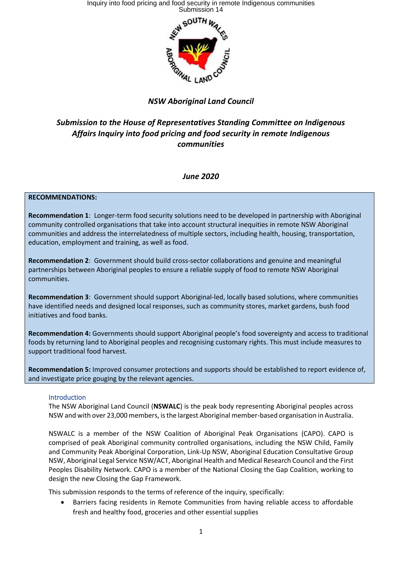Inquiry into food pricing and food security in remote Indigenous communities Submission 14



# *NSW Aboriginal Land Council*

# *Submission to the House of Representatives Standing Committee on Indigenous Affairs Inquiry into food pricing and food security in remote Indigenous communities*

## *June 2020*

### **RECOMMENDATIONS:**

**Recommendation 1**: Longer-term food security solutions need to be developed in partnership with Aboriginal community controlled organisations that take into account structural inequities in remote NSW Aboriginal communities and address the interrelatedness of multiple sectors, including health, housing, transportation, education, employment and training, as well as food.

**Recommendation 2**: Government should build cross-sector collaborations and genuine and meaningful partnerships between Aboriginal peoples to ensure a reliable supply of food to remote NSW Aboriginal communities.

**Recommendation 3**: Government should support Aboriginal-led, locally based solutions, where communities have identified needs and designed local responses, such as community stores, market gardens, bush food initiatives and food banks.

**Recommendation 4:** Governments should support Aboriginal people's food sovereignty and access to traditional foods by returning land to Aboriginal peoples and recognising customary rights. This must include measures to support traditional food harvest.

**Recommendation 5:** Improved consumer protections and supports should be established to report evidence of, and investigate price gouging by the relevant agencies.

### Introduction

The NSW Aboriginal Land Council (**NSWALC**) is the peak body representing Aboriginal peoples across NSW and with over 23,000 members, is the largest Aboriginal member-based organisation in Australia.

NSWALC is a member of the NSW Coalition of Aboriginal Peak Organisations (CAPO). CAPO is comprised of peak Aboriginal community controlled organisations, including the NSW Child, Family and Community Peak Aboriginal Corporation, Link-Up NSW, Aboriginal Education Consultative Group NSW, Aboriginal Legal Service NSW/ACT, Aboriginal Health and Medical Research Council and the First Peoples Disability Network. CAPO is a member of the National Closing the Gap Coalition, working to design the new Closing the Gap Framework.

This submission responds to the terms of reference of the inquiry, specifically:

• Barriers facing residents in Remote Communities from having reliable access to affordable fresh and healthy food, groceries and other essential supplies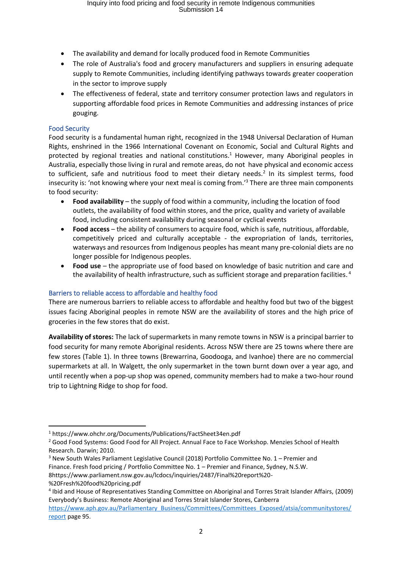- The availability and demand for locally produced food in Remote Communities
- The role of Australia's food and grocery manufacturers and suppliers in ensuring adequate supply to Remote Communities, including identifying pathways towards greater cooperation in the sector to improve supply
- The effectiveness of federal, state and territory consumer protection laws and regulators in supporting affordable food prices in Remote Communities and addressing instances of price gouging.

## Food Security

Food security is a fundamental human right, recognized in the 1948 Universal Declaration of Human Rights, enshrined in the 1966 International Covenant on Economic, Social and Cultural Rights and protected by regional treaties and national constitutions.<sup>1</sup> However, many Aboriginal peoples in Australia, especially those living in rural and remote areas, do not have physical and economic access to sufficient, safe and nutritious food to meet their dietary needs.<sup>2</sup> In its simplest terms, food insecurity is: 'not knowing where your next meal is coming from.' <sup>3</sup> There are three main components to food security:

- **Food availability** the supply of food within a community, including the location of food outlets, the availability of food within stores, and the price, quality and variety of available food, including consistent availability during seasonal or cyclical events
- **Food access** the ability of consumers to acquire food, which is safe, nutritious, affordable, competitively priced and culturally acceptable - the expropriation of lands, territories, waterways and resources from Indigenous peoples has meant many pre-colonial diets are no longer possible for Indigenous peoples.
- **Food use** the appropriate use of food based on knowledge of basic nutrition and care and the availability of health infrastructure, such as sufficient storage and preparation facilities.<sup>4</sup>

## Barriers to reliable access to affordable and healthy food

There are numerous barriers to reliable access to affordable and healthy food but two of the biggest issues facing Aboriginal peoples in remote NSW are the availability of stores and the high price of groceries in the few stores that do exist.

**Availability of stores:** The lack of supermarkets in many remote towns in NSW is a principal barrier to food security for many remote Aboriginal residents. Across NSW there are 25 towns where there are few stores (Table 1). In three towns (Brewarrina, Goodooga, and Ivanhoe) there are no commercial supermarkets at all. In Walgett, the only supermarket in the town burnt down over a year ago, and until recently when a pop-up shop was opened, community members had to make a two-hour round trip to Lightning Ridge to shop for food.

<sup>1</sup> https://www.ohchr.org/Documents/Publications/FactSheet34en.pdf

<sup>&</sup>lt;sup>2</sup> Good Food Systems: Good Food for All Project. Annual Face to Face Workshop. Menzies School of Health Research. Darwin; 2010.

<sup>3</sup> New South Wales Parliament Legislative Council (2018) Portfolio Committee No. 1 – Premier and Finance. Fresh food pricing / Portfolio Committee No. 1 – Premier and Finance, Sydney, N.S.W. 8https://www.parliament.nsw.gov.au/lcdocs/inquiries/2487/Final%20report%20- %20Fresh%20food%20pricing.pdf

<sup>4</sup> Ibid and House of Representatives Standing Committee on Aboriginal and Torres Strait Islander Affairs, (2009) Everybody's Business: Remote Aboriginal and Torres Strait Islander Stores, Canberra

[https://www.aph.gov.au/Parliamentary\\_Business/Committees/Committees\\_Exposed/atsia/communitystores/](https://www.aph.gov.au/Parliamentary_Business/Committees/Committees_Exposed/atsia/communitystores/report) [report](https://www.aph.gov.au/Parliamentary_Business/Committees/Committees_Exposed/atsia/communitystores/report) page 95.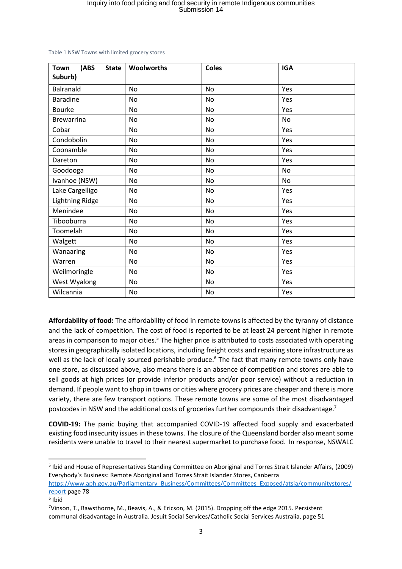| <b>Town</b><br>(ABS<br><b>State</b><br>Suburb) | Woolworths | <b>Coles</b> | <b>IGA</b> |
|------------------------------------------------|------------|--------------|------------|
| Balranald                                      | <b>No</b>  | <b>No</b>    | Yes        |
| <b>Baradine</b>                                | <b>No</b>  | No           | Yes        |
| <b>Bourke</b>                                  | <b>No</b>  | No           | Yes        |
| <b>Brewarrina</b>                              | No         | No           | No         |
| Cobar                                          | <b>No</b>  | No           | Yes        |
| Condobolin                                     | <b>No</b>  | No           | Yes        |
| Coonamble                                      | No         | No           | Yes        |
| Dareton                                        | No         | No           | Yes        |
| Goodooga                                       | <b>No</b>  | No           | No         |
| Ivanhoe (NSW)                                  | <b>No</b>  | No           | No         |
| Lake Cargelligo                                | <b>No</b>  | No           | Yes        |
| <b>Lightning Ridge</b>                         | No         | No           | Yes        |
| Menindee                                       | No         | No           | Yes        |
| Tibooburra                                     | <b>No</b>  | No           | Yes        |
| Toomelah                                       | <b>No</b>  | No           | Yes        |
| Walgett                                        | No         | No           | Yes        |
| Wanaaring                                      | <b>No</b>  | No           | Yes        |
| Warren                                         | No         | No           | Yes        |
| Weilmoringle                                   | No         | No           | Yes        |
| West Wyalong                                   | <b>No</b>  | No           | Yes        |
| Wilcannia                                      | No         | No           | Yes        |

Table 1 NSW Towns with limited grocery stores

**Affordability of food:** The affordability of food in remote towns is affected by the tyranny of distance and the lack of competition. The cost of food is reported to be at least 24 percent higher in remote areas in comparison to major cities.<sup>5</sup> The higher price is attributed to costs associated with operating stores in geographically isolated locations, including freight costs and repairing store infrastructure as well as the lack of locally sourced perishable produce.<sup>6</sup> The fact that many remote towns only have one store, as discussed above, also means there is an absence of competition and stores are able to sell goods at high prices (or provide inferior products and/or poor service) without a reduction in demand. If people want to shop in towns or cities where grocery prices are cheaper and there is more variety, there are few transport options. These remote towns are some of the most disadvantaged postcodes in NSW and the additional costs of groceries further compounds their disadvantage.<sup>7</sup>

**COVID-19:** The panic buying that accompanied COVID-19 affected food supply and exacerbated existing food insecurity issues in these towns. The closure of the Queensland border also meant some residents were unable to travel to their nearest supermarket to purchase food. In response, NSWALC

<sup>&</sup>lt;sup>5</sup> Ibid and House of Representatives Standing Committee on Aboriginal and Torres Strait Islander Affairs, (2009) Everybody's Business: Remote Aboriginal and Torres Strait Islander Stores, Canberra

[https://www.aph.gov.au/Parliamentary\\_Business/Committees/Committees\\_Exposed/atsia/communitystores/](https://www.aph.gov.au/Parliamentary_Business/Committees/Committees_Exposed/atsia/communitystores/report) [report](https://www.aph.gov.au/Parliamentary_Business/Committees/Committees_Exposed/atsia/communitystores/report) page 78

<sup>6</sup> Ibid

<sup>7</sup>Vinson, T., Rawsthorne, M., Beavis, A., & Ericson, M. (2015). Dropping off the edge 2015. Persistent communal disadvantage in Australia. Jesuit Social Services/Catholic Social Services Australia, page 51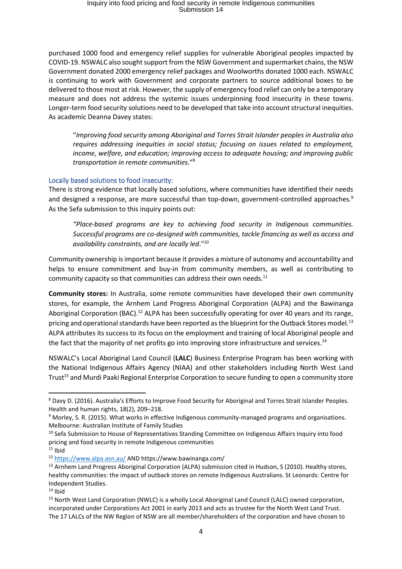purchased 1000 food and emergency relief supplies for vulnerable Aboriginal peoples impacted by COVID-19. NSWALC also sought support from the NSW Government and supermarket chains, the NSW Government donated 2000 emergency relief packages and Woolworths donated 1000 each. NSWALC is continuing to work with Government and corporate partners to source additional boxes to be delivered to those most at risk. However, the supply of emergency food relief can only be a temporary measure and does not address the systemic issues underpinning food insecurity in these towns. Longer-term food security solutions need to be developed that take into account structural inequities. As academic Deanna Davey states:

"*Improving food security among Aboriginal and Torres Strait Islander peoples in Australia also requires addressing inequities in social status; focusing on issues related to employment, income, welfare, and education; improving access to adequate housing; and improving public transportation in remote communities*."<sup>8</sup>

## Locally based solutions to food insecurity:

There is strong evidence that locally based solutions, where communities have identified their needs and designed a response, are more successful than top-down, government-controlled approaches.<sup>9</sup> As the Sefa submission to this inquiry points out:

*"Place-based programs are key to achieving food security in Indigenous communities. Successful programs are co-designed with communities, tackle financing as well as access and availability constraints, and are locally led*." 10

Community ownership is important because it provides a mixture of autonomy and accountability and helps to ensure commitment and buy-in from community members, as well as contributing to community capacity so that communities can address their own needs. $^{11}$ 

**Community stores:** In Australia, some remote communities have developed their own community stores, for example, the Arnhem Land Progress Aboriginal Corporation (ALPA) and the Bawinanga Aboriginal Corporation (BAC).<sup>12</sup> ALPA has been successfully operating for over 40 years and its range, pricing and operational standards have been reported as the blueprint for the Outback Stores model.<sup>13</sup> ALPA attributes its success to its focus on the employment and training of local Aboriginal people and the fact that the majority of net profits go into improving store infrastructure and services.<sup>14</sup>

NSWALC's Local Aboriginal Land Council (**LALC**) Business Enterprise Program has been working with the National Indigenous Affairs Agency (NIAA) and other stakeholders including North West Land Trust<sup>15</sup> and Murdi Paaki Regional Enterprise Corporation to secure funding to open a community store

<sup>8</sup> Davy D. (2016). Australia's Efforts to Improve Food Security for Aboriginal and Torres Strait Islander Peoples. Health and human rights, 18(2), 209–218.

<sup>&</sup>lt;sup>9</sup> Morley, S. R. (2015). What works in effective Indigenous community-managed programs and organisations. Melbourne: Australian Institute of Family Studies

<sup>&</sup>lt;sup>10</sup> Sefa Submission to House of Representatives Standing Committee on Indigenous Affairs Inquiry into food pricing and food security in remote Indigenous communities  $11$  Ihid

<sup>12</sup> <https://www.alpa.asn.au/> AND https://www.bawinanga.com/

<sup>&</sup>lt;sup>13</sup> Arnhem Land Progress Aboriginal Corporation (ALPA) submission cited in Hudson, S (2010). Healthy stores, healthy communities: the impact of outback stores on remote Indigenous Australians. St Leonards: Centre for Independent Studies.

 $14$  Ibid

<sup>&</sup>lt;sup>15</sup> North West Land Corporation (NWLC) is a wholly Local Aboriginal Land Council (LALC) owned corporation, incorporated under Corporations Act 2001 in early 2013 and acts as trustee for the North West Land Trust. The 17 LALCs of the NW Region of NSW are all member/shareholders of the corporation and have chosen to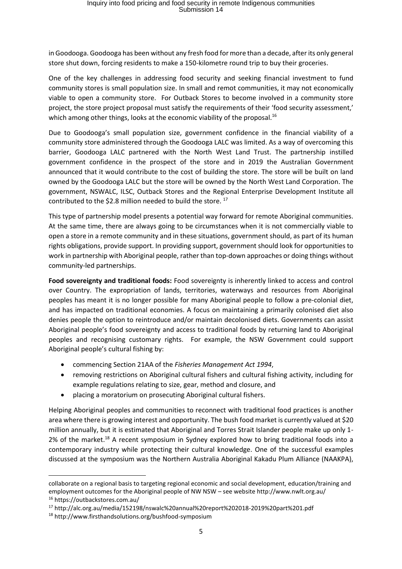in Goodooga. Goodooga has been without any fresh food for more than a decade, after its only general store shut down, forcing residents to make a 150-kilometre round trip to buy their groceries.

One of the key challenges in addressing food security and seeking financial investment to fund community stores is small population size. In small and remot communities, it may not economically viable to open a community store. For Outback Stores to become involved in a community store project, the store project proposal must satisfy the requirements of their 'food security assessment,' which among other things, looks at the economic viability of the proposal.<sup>16</sup>

Due to Goodooga's small population size, government confidence in the financial viability of a community store administered through the Goodooga LALC was limited. As a way of overcoming this barrier, Goodooga LALC partnered with the North West Land Trust. The partnership instilled government confidence in the prospect of the store and in 2019 the Australian Government announced that it would contribute to the cost of building the store. The store will be built on land owned by the Goodooga LALC but the store will be owned by the North West Land Corporation. The government, NSWALC, ILSC, Outback Stores and the Regional Enterprise Development Institute all contributed to the \$2.8 million needed to build the store.<sup>17</sup>

This type of partnership model presents a potential way forward for remote Aboriginal communities. At the same time, there are always going to be circumstances when it is not commercially viable to open a store in a remote community and in these situations, government should, as part of its human rights obligations, provide support. In providing support, government should look for opportunities to work in partnership with Aboriginal people, rather than top-down approaches or doing things without community-led partnerships.

**Food sovereignty and traditional foods:** Food sovereignty is inherently linked to access and control over Country. The expropriation of lands, territories, waterways and resources from Aboriginal peoples has meant it is no longer possible for many Aboriginal people to follow a pre-colonial diet, and has impacted on traditional economies. A focus on maintaining a primarily colonised diet also denies people the option to reintroduce and/or maintain decolonised diets. Governments can assist Aboriginal people's food sovereignty and access to traditional foods by returning land to Aboriginal peoples and recognising customary rights. For example, the NSW Government could support Aboriginal people's cultural fishing by:

- commencing Section 21AA of the *Fisheries Management Act 1994*,
- removing restrictions on Aboriginal cultural fishers and cultural fishing activity, including for example regulations relating to size, gear, method and closure, and
- placing a moratorium on prosecuting Aboriginal cultural fishers.

Helping Aboriginal peoples and communities to reconnect with traditional food practices is another area where there is growing interest and opportunity. The bush food market is currently valued at \$20 million annually, but it is estimated that Aboriginal and Torres Strait Islander people make up only 1- 2% of the market.<sup>18</sup> A recent symposium in Sydney explored how to bring traditional foods into a contemporary industry while protecting their cultural knowledge. One of the successful examples discussed at the symposium was the Northern Australia Aboriginal Kakadu Plum Alliance (NAAKPA),

collaborate on a regional basis to targeting regional economic and social development, education/training and employment outcomes for the Aboriginal people of NW NSW – see website http://www.nwlt.org.au/ <sup>16</sup> https://outbackstores.com.au/

<sup>17</sup> http://alc.org.au/media/152198/nswalc%20annual%20report%202018-2019%20part%201.pdf

<sup>18</sup> http://www.firsthandsolutions.org/bushfood-symposium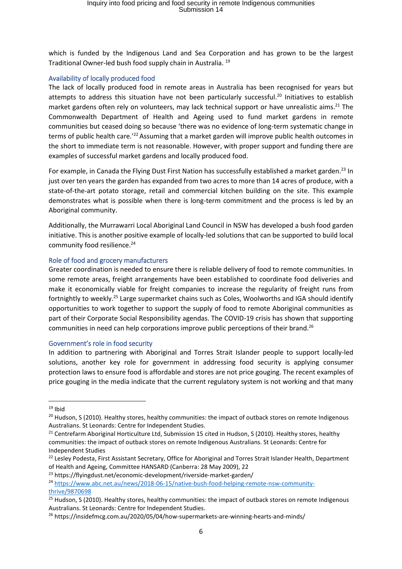which is funded by the Indigenous Land and Sea Corporation and has grown to be the largest Traditional Owner-led bush food supply chain in Australia. <sup>19</sup>

### Availability of locally produced food

The lack of locally produced food in remote areas in Australia has been recognised for years but attempts to address this situation have not been particularly successful. <sup>20</sup> Initiatives to establish market gardens often rely on volunteers, may lack technical support or have unrealistic aims.<sup>21</sup> The Commonwealth Department of Health and Ageing used to fund market gardens in remote communities but ceased doing so because 'there was no evidence of long-term systematic change in terms of public health care.<sup>'22</sup> Assuming that a market garden will improve public health outcomes in the short to immediate term is not reasonable. However, with proper support and funding there are examples of successful market gardens and locally produced food.

For example, in Canada the Flying Dust First Nation has successfully established a market garden.<sup>23</sup> In just over ten years the garden has expanded from two acres to more than 14 acres of produce, with a state-of-the-art potato storage, retail and commercial kitchen building on the site. This example demonstrates what is possible when there is long-term commitment and the process is led by an Aboriginal community.

Additionally, the Murrawarri Local Aboriginal Land Council in NSW has developed a bush food garden initiative. This is another positive example of locally-led solutions that can be supported to build local community food resilience. 24

### Role of food and grocery manufacturers

Greater coordination is needed to ensure there is reliable delivery of food to remote communities. In some remote areas, freight arrangements have been established to coordinate food deliveries and make it economically viable for freight companies to increase the regularity of freight runs from fortnightly to weekly.<sup>25</sup> Large supermarket chains such as Coles, Woolworths and IGA should identify opportunities to work together to support the supply of food to remote Aboriginal communities as part of their Corporate Social Responsibility agendas. The COVID-19 crisis has shown that supporting communities in need can help corporations improve public perceptions of their brand.<sup>26</sup>

### Government's role in food security

In addition to partnering with Aboriginal and Torres Strait Islander people to support locally-led solutions, another key role for government in addressing food security is applying consumer protection laws to ensure food is affordable and stores are not price gouging. The recent examples of price gouging in the media indicate that the current regulatory system is not working and that many

 $19$  Ibid

<sup>&</sup>lt;sup>20</sup> Hudson, S (2010). Healthy stores, healthy communities: the impact of outback stores on remote Indigenous Australians. St Leonards: Centre for Independent Studies.

<sup>&</sup>lt;sup>21</sup> Centrefarm Aboriginal Horticulture Ltd, Submission 15 cited in Hudson, S (2010). Healthy stores, healthy communities: the impact of outback stores on remote Indigenous Australians. St Leonards: Centre for Independent Studies

<sup>&</sup>lt;sup>22</sup> Lesley Podesta, First Assistant Secretary, Office for Aboriginal and Torres Strait Islander Health, Department of Health and Ageing, Committee HANSARD (Canberra: 28 May 2009), 22

<sup>23</sup> https://flyingdust.net/economic-development/riverside-market-garden/

<sup>24</sup> [https://www.abc.net.au/news/2018-06-15/native-bush-food-helping-remote-nsw-community](https://www.abc.net.au/news/2018-06-15/native-bush-food-helping-remote-nsw-community-thrive/9870698)[thrive/9870698](https://www.abc.net.au/news/2018-06-15/native-bush-food-helping-remote-nsw-community-thrive/9870698)

<sup>&</sup>lt;sup>25</sup> Hudson, S (2010). Healthy stores, healthy communities: the impact of outback stores on remote Indigenous Australians. St Leonards: Centre for Independent Studies.

<sup>&</sup>lt;sup>26</sup> https://insidefmcg.com.au/2020/05/04/how-supermarkets-are-winning-hearts-and-minds/